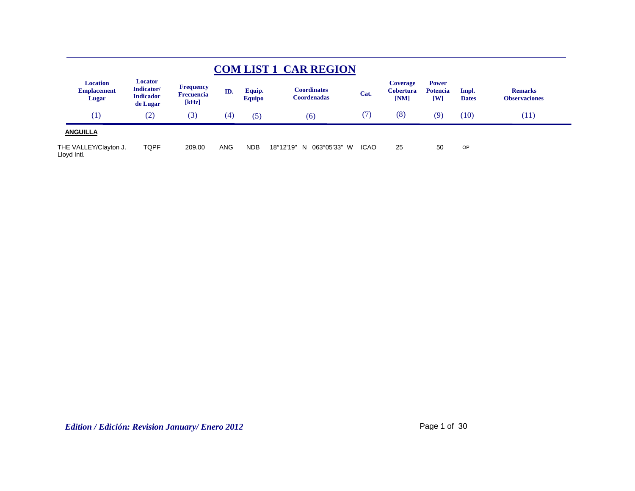|                                                |                                                       |                                                |            |                         | <b>COM LIST 1 CAR REGION</b>              |             |                                             |                                                |                       |                                        |  |
|------------------------------------------------|-------------------------------------------------------|------------------------------------------------|------------|-------------------------|-------------------------------------------|-------------|---------------------------------------------|------------------------------------------------|-----------------------|----------------------------------------|--|
| <b>Location</b><br><b>Emplacement</b><br>Lugar | Locator<br>Indicator/<br><b>Indicador</b><br>de Lugar | <b>Frequency</b><br><b>Frecuencia</b><br>[kHz] | ID.        | Equip.<br><b>Equipo</b> | C <b>oordinates</b><br><b>Coordenadas</b> | Cat.        | <b>Coverage</b><br><b>Cobertura</b><br>[NM] | <b>Power</b><br><b>Potencia</b><br>$[{\bf W}]$ | Impl.<br><b>Dates</b> | <b>Remarks</b><br><b>Observaciones</b> |  |
| (1)                                            | (2)                                                   | (3)                                            | (4)        | (5)                     | (6)                                       | (7)         | (8)                                         | (9)                                            | (10)                  | (11)                                   |  |
| <b>ANGUILLA</b>                                |                                                       |                                                |            |                         |                                           |             |                                             |                                                |                       |                                        |  |
| THE VALLEY/Clayton J.<br>Lloyd Intl.           | TQPF                                                  | 209.00                                         | <b>ANG</b> | <b>NDB</b>              | 063°05'33" W<br>18°12'19"<br>N.           | <b>ICAO</b> | 25                                          | 50                                             | <b>OP</b>             |                                        |  |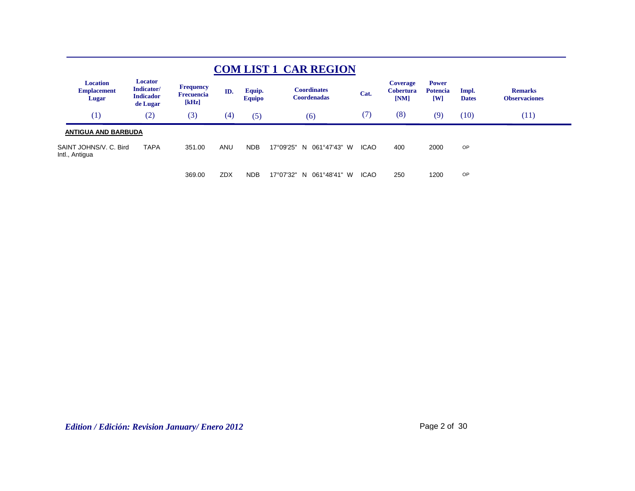|                                                |                                                       |                                                |            |                         | <b>COM LIST 1 CAR REGION</b>             |             |                                      |                                                            |                       |                                        |
|------------------------------------------------|-------------------------------------------------------|------------------------------------------------|------------|-------------------------|------------------------------------------|-------------|--------------------------------------|------------------------------------------------------------|-----------------------|----------------------------------------|
| <b>Location</b><br><b>Emplacement</b><br>Lugar | Locator<br>Indicator/<br><b>Indicador</b><br>de Lugar | <b>Frequency</b><br><b>Frecuencia</b><br>[kHz] | ID.        | Equip.<br><b>Equipo</b> | <b>Coordinates</b><br><b>Coordenadas</b> | Cat.        | Coverage<br><b>Cobertura</b><br>[NM] | <b>Power</b><br><b>Potencia</b><br>$\mathbf{[} \mathbf{W}$ | Impl.<br><b>Dates</b> | <b>Remarks</b><br><b>Observaciones</b> |
| (1)                                            | (2)                                                   | (3)                                            | (4)        | (5)                     | (6)                                      | (7)         | (8)                                  | (9)                                                        | (10)                  | (11)                                   |
| <b>ANTIGUA AND BARBUDA</b>                     |                                                       |                                                |            |                         |                                          |             |                                      |                                                            |                       |                                        |
| SAINT JOHNS/V. C. Bird<br>Intl., Antigua       | <b>TAPA</b>                                           | 351.00                                         | <b>ANU</b> | <b>NDB</b>              | 17°09'25"<br>N 061°47'43" W              | <b>ICAO</b> | 400                                  | 2000                                                       | OP                    |                                        |
|                                                |                                                       | 369.00                                         | <b>ZDX</b> | <b>NDB</b>              | 17°07'32"<br>061°48'41"<br>N.<br>- W     | <b>ICAO</b> | 250                                  | 1200                                                       | OP                    |                                        |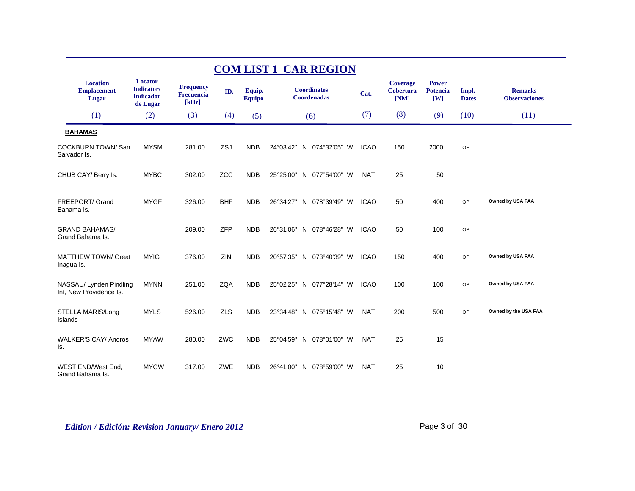| <b>COM LIST 1 CAR REGION</b>                       |                                                       |                                                |            |                         |                                          |             |                                             |                                        |                       |                                        |  |  |
|----------------------------------------------------|-------------------------------------------------------|------------------------------------------------|------------|-------------------------|------------------------------------------|-------------|---------------------------------------------|----------------------------------------|-----------------------|----------------------------------------|--|--|
| <b>Location</b><br><b>Emplacement</b><br>Lugar     | Locator<br>Indicator/<br><b>Indicador</b><br>de Lugar | <b>Frequency</b><br><b>Frecuencia</b><br>[kHz] | ID.        | Equip.<br><b>Equipo</b> | <b>Coordinates</b><br><b>Coordenadas</b> | Cat.        | <b>Coverage</b><br><b>Cobertura</b><br>[NM] | <b>Power</b><br><b>Potencia</b><br>[W] | Impl.<br><b>Dates</b> | <b>Remarks</b><br><b>Observaciones</b> |  |  |
| (1)                                                | (2)                                                   | (3)                                            | (4)        | (5)                     | (6)                                      | (7)         | (8)                                         | (9)                                    | (10)                  | (11)                                   |  |  |
| <b>BAHAMAS</b>                                     |                                                       |                                                |            |                         |                                          |             |                                             |                                        |                       |                                        |  |  |
| <b>COCKBURN TOWN/San</b><br>Salvador Is.           | <b>MYSM</b>                                           | 281.00                                         | ZSJ        | <b>NDB</b>              | 24°03'42" N 074°32'05" W                 | <b>ICAO</b> | 150                                         | 2000                                   | OP                    |                                        |  |  |
| CHUB CAY/ Berry Is.                                | <b>MYBC</b>                                           | 302.00                                         | <b>ZCC</b> | <b>NDB</b>              | 25°25'00" N 077°54'00" W                 | <b>NAT</b>  | 25                                          | 50                                     |                       |                                        |  |  |
| FREEPORT/ Grand<br>Bahama Is.                      | <b>MYGF</b>                                           | 326.00                                         | <b>BHF</b> | <b>NDB</b>              | 26°34'27" N 078°39'49" W                 | <b>ICAO</b> | 50                                          | 400                                    | OP                    | Owned by USA FAA                       |  |  |
| <b>GRAND BAHAMAS/</b><br>Grand Bahama Is.          |                                                       | 209.00                                         | <b>ZFP</b> | <b>NDB</b>              | 26°31'06" N 078°46'28" W                 | <b>ICAO</b> | 50                                          | 100                                    | OP                    |                                        |  |  |
| <b>MATTHEW TOWN/ Great</b><br>Inagua Is.           | <b>MYIG</b>                                           | 376.00                                         | ZIN        | <b>NDB</b>              | 20°57'35" N 073°40'39" W                 | <b>ICAO</b> | 150                                         | 400                                    | OP                    | Owned by USA FAA                       |  |  |
| NASSAU/ Lynden Pindling<br>Int, New Providence Is. | <b>MYNN</b>                                           | 251.00                                         | <b>ZQA</b> | <b>NDB</b>              | 25°02'25" N 077°28'14" W                 | <b>ICAO</b> | 100                                         | 100                                    | OP                    | Owned by USA FAA                       |  |  |
| STELLA MARIS/Long<br>Islands                       | <b>MYLS</b>                                           | 526.00                                         | <b>ZLS</b> | <b>NDB</b>              | 23°34'48" N 075°15'48" W                 | <b>NAT</b>  | 200                                         | 500                                    | OP                    | Owned by the USA FAA                   |  |  |
| <b>WALKER'S CAY/ Andros</b><br>ls.                 | <b>MYAW</b>                                           | 280.00                                         | ZWC        | <b>NDB</b>              | 25°04'59" N 078°01'00" W                 | <b>NAT</b>  | 25                                          | 15                                     |                       |                                        |  |  |
| WEST END/West End,<br>Grand Bahama Is.             | <b>MYGW</b>                                           | 317.00                                         | ZWE        | <b>NDB</b>              | 26°41'00" N 078°59'00" W                 | <b>NAT</b>  | 25                                          | 10                                     |                       |                                        |  |  |

*Edition / Edición: Revision January/ Enero 2012* Page 3 of 30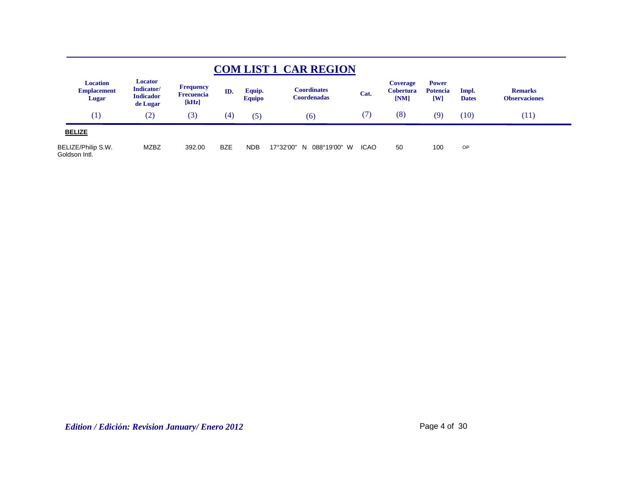|                                                |                                                       |                                                |            |                         | <b>COM LIST 1 CAR REGION</b>       |             |                                             |                                                |                       |                                        |  |
|------------------------------------------------|-------------------------------------------------------|------------------------------------------------|------------|-------------------------|------------------------------------|-------------|---------------------------------------------|------------------------------------------------|-----------------------|----------------------------------------|--|
| <b>Location</b><br><b>Emplacement</b><br>Lugar | Locator<br>Indicator/<br><b>Indicador</b><br>de Lugar | <b>Frequency</b><br><b>Frecuencia</b><br>[kHz] | ID.        | Equip.<br><b>Equipo</b> | Coordinates<br><b>Coordenadas</b>  | Cat.        | <b>Coverage</b><br><b>Cobertura</b><br>[NM] | <b>Power</b><br><b>Potencia</b><br>$[{\rm W}]$ | Impl.<br><b>Dates</b> | <b>Remarks</b><br><b>Observaciones</b> |  |
| (1)                                            | (2)                                                   | (3)                                            | (4)        | (5)                     | (6)                                | (7)         | (8)                                         | (9)                                            | (10)                  | (11)                                   |  |
| <b>BELIZE</b>                                  |                                                       |                                                |            |                         |                                    |             |                                             |                                                |                       |                                        |  |
| BELIZE/Philip S.W.<br>Goldson Intl.            | <b>MZBZ</b>                                           | 392.00                                         | <b>BZE</b> | <b>NDB</b>              | 17°32'00"<br>088°19'00"<br>W<br>-N | <b>ICAO</b> | 50                                          | 100                                            | OP                    |                                        |  |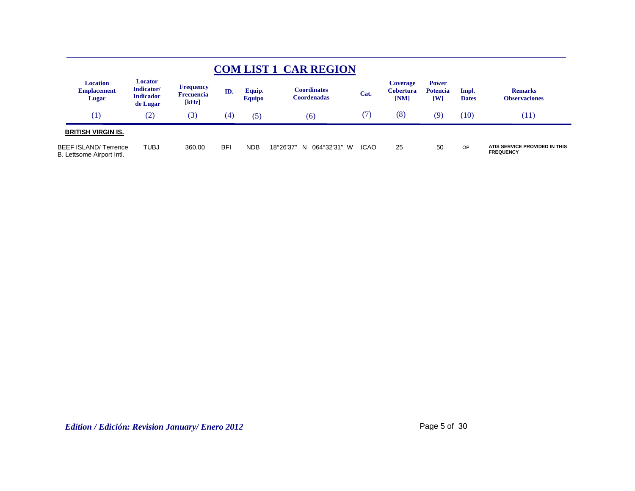|                                                    |                                                       |                                                |                   |                         | <b>COM LIST 1 CAR REGION</b>      |                     |                                             |                                        |                       |                                                   |
|----------------------------------------------------|-------------------------------------------------------|------------------------------------------------|-------------------|-------------------------|-----------------------------------|---------------------|---------------------------------------------|----------------------------------------|-----------------------|---------------------------------------------------|
| <b>Location</b><br><b>Emplacement</b><br>Lugar     | Locator<br>Indicator/<br><b>Indicador</b><br>de Lugar | <b>Frequency</b><br><b>Frecuencia</b><br>[kHz] | ID.               | Equip.<br><b>Equipo</b> | <b>Coordinates</b><br>Coordenadas | Cat.                | <b>Coverage</b><br><b>Cobertura</b><br>[NM] | <b>Power</b><br><b>Potencia</b><br>[W] | Impl.<br><b>Dates</b> | <b>Remarks</b><br><b>Observaciones</b>            |
| (1)                                                | (2)                                                   | (3)                                            | $\left( 4\right)$ | (5)                     | (6)                               | $\langle I \rangle$ | (8)                                         | (9)                                    | (10)                  | (11)                                              |
| <b>BRITISH VIRGIN IS.</b>                          |                                                       |                                                |                   |                         |                                   |                     |                                             |                                        |                       |                                                   |
| BEEF ISLAND/ Terrence<br>B. Lettsome Airport Intl. | <b>TUBJ</b>                                           | 360.00                                         | <b>BFI</b>        | <b>NDB</b>              | 064°32'31" W<br>18°26'37"<br>N.   | <b>ICAO</b>         | 25                                          | 50                                     | OP                    | ATIS SERVICE PROVIDED IN THIS<br><b>FREQUENCY</b> |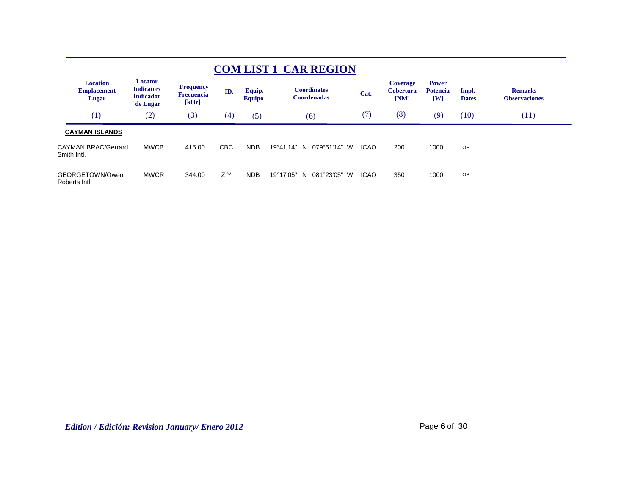|                                                       |                                                              |                                                |            |                         | <b>COM LIST 1 CAR REGION</b>             |             |                                             |                                                   |                       |                                        |
|-------------------------------------------------------|--------------------------------------------------------------|------------------------------------------------|------------|-------------------------|------------------------------------------|-------------|---------------------------------------------|---------------------------------------------------|-----------------------|----------------------------------------|
| <b>Location</b><br><b>Emplacement</b><br><b>Lugar</b> | <b>Locator</b><br>Indicator/<br><b>Indicador</b><br>de Lugar | <b>Frequency</b><br><b>Frecuencia</b><br>[kHz] | ID.        | Equip.<br><b>Equipo</b> | <b>Coordinates</b><br><b>Coordenadas</b> | Cat.        | <b>Coverage</b><br><b>Cobertura</b><br>[NM] | <b>Power</b><br><b>Potencia</b><br>$\mathbf{[W]}$ | Impl.<br><b>Dates</b> | <b>Remarks</b><br><b>Observaciones</b> |
| (1)                                                   | (2)                                                          | (3)                                            | (4)        | (5)                     | (6)                                      | (7)         | (8)                                         | (9)                                               | (10)                  | (11)                                   |
| <b>CAYMAN ISLANDS</b>                                 |                                                              |                                                |            |                         |                                          |             |                                             |                                                   |                       |                                        |
| <b>CAYMAN BRAC/Gerrard</b><br>Smith Intl.             | <b>MWCB</b>                                                  | 415.00                                         | <b>CBC</b> | <b>NDB</b>              | 19°41'14"<br>079°51'14" W<br>N.          | <b>ICAO</b> | 200                                         | 1000                                              | OP                    |                                        |
| GEORGETOWN/Owen<br>Roberts Intl.                      | <b>MWCR</b>                                                  | 344.00                                         | ZIY        | <b>NDB</b>              | 19°17'05"<br>081°23'05"<br>W<br>N.       | <b>ICAO</b> | 350                                         | 1000                                              | OP                    |                                        |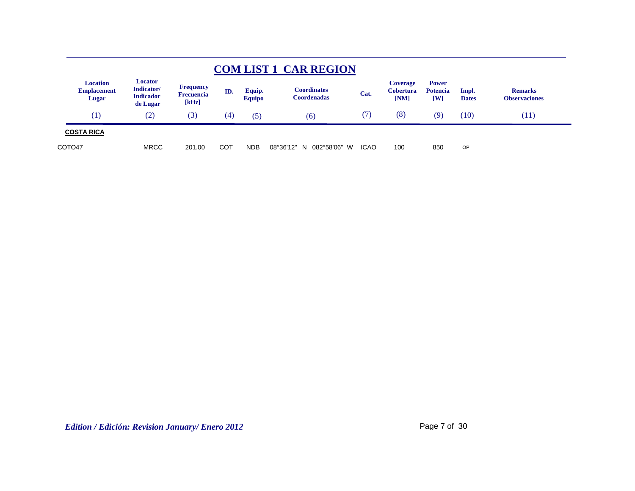|                                                |                                                       |                                                |     |                         | <b>COM LIST 1 CAR REGION</b>      |             |                                      |                                        |                       |                                        |
|------------------------------------------------|-------------------------------------------------------|------------------------------------------------|-----|-------------------------|-----------------------------------|-------------|--------------------------------------|----------------------------------------|-----------------------|----------------------------------------|
| <b>Location</b><br><b>Emplacement</b><br>Lugar | Locator<br>Indicator/<br><b>Indicador</b><br>de Lugar | <b>Frequency</b><br><b>Frecuencia</b><br>[kHz] | ID. | Equip.<br><b>Equipo</b> | <b>Coordinates</b><br>Coordenadas | Cat.        | <b>Coverage</b><br>Cobertura<br>[NM] | <b>Power</b><br><b>Potencia</b><br>[W] | Impl.<br><b>Dates</b> | <b>Remarks</b><br><b>Observaciones</b> |
| $\left( 1\right)$                              | $\left( 2\right)$                                     | (3)                                            | (4) | (5)                     | (6)                               | U)          | (8)                                  | (9)                                    | (10)                  | (11)                                   |
| <b>COSTA RICA</b>                              |                                                       |                                                |     |                         |                                   |             |                                      |                                        |                       |                                        |
| COTO <sub>47</sub>                             | <b>MRCC</b>                                           | 201.00                                         | COT | <b>NDB</b>              | 08°36'12"<br>082°58'06" W<br>N    | <b>ICAO</b> | 100                                  | 850                                    | OP                    |                                        |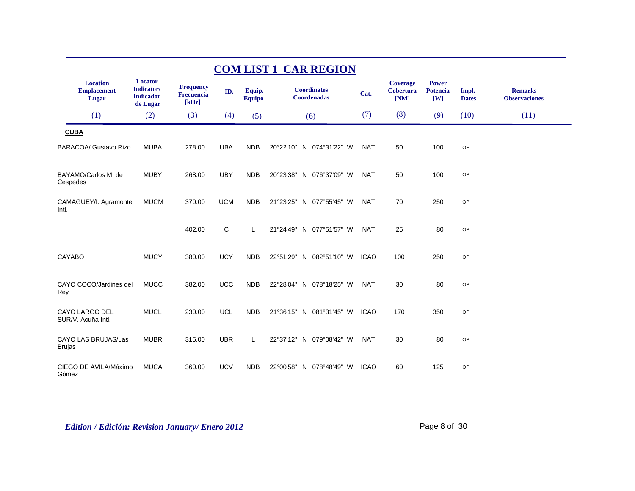| <b>COM LIST 1 CAR REGION</b>                   |                                                       |                                                |            |                         |                                          |             |                                             |                                            |                       |                                        |  |  |
|------------------------------------------------|-------------------------------------------------------|------------------------------------------------|------------|-------------------------|------------------------------------------|-------------|---------------------------------------------|--------------------------------------------|-----------------------|----------------------------------------|--|--|
| <b>Location</b><br><b>Emplacement</b><br>Lugar | Locator<br>Indicator/<br><b>Indicador</b><br>de Lugar | <b>Frequency</b><br><b>Frecuencia</b><br>[kHz] | ID.        | Equip.<br><b>Equipo</b> | <b>Coordinates</b><br><b>Coordenadas</b> | Cat.        | <b>Coverage</b><br><b>Cobertura</b><br>[NM] | <b>Power</b><br>Potencia<br>$\mathbf{[W]}$ | Impl.<br><b>Dates</b> | <b>Remarks</b><br><b>Observaciones</b> |  |  |
| (1)                                            | (2)                                                   | (3)                                            | (4)        | (5)                     | (6)                                      | (7)         | (8)                                         | (9)                                        | (10)                  | (11)                                   |  |  |
| <b>CUBA</b>                                    |                                                       |                                                |            |                         |                                          |             |                                             |                                            |                       |                                        |  |  |
| <b>BARACOA/ Gustavo Rizo</b>                   | <b>MUBA</b>                                           | 278.00                                         | <b>UBA</b> | <b>NDB</b>              | 20°22'10" N 074°31'22" W                 | <b>NAT</b>  | 50                                          | 100                                        | OP                    |                                        |  |  |
| BAYAMO/Carlos M. de<br>Cespedes                | <b>MUBY</b>                                           | 268.00                                         | <b>UBY</b> | <b>NDB</b>              | 20°23'38" N 076°37'09" W                 | <b>NAT</b>  | 50                                          | 100                                        | OP                    |                                        |  |  |
| CAMAGUEY/I. Agramonte<br>Intl.                 | <b>MUCM</b>                                           | 370.00                                         | <b>UCM</b> | <b>NDB</b>              | 21°23'25" N 077°55'45" W                 | <b>NAT</b>  | 70                                          | 250                                        | OP                    |                                        |  |  |
|                                                |                                                       | 402.00                                         | C          | L                       | 21°24'49" N 077°51'57" W                 | <b>NAT</b>  | 25                                          | 80                                         | OP                    |                                        |  |  |
| CAYABO                                         | <b>MUCY</b>                                           | 380.00                                         | <b>UCY</b> | <b>NDB</b>              | 22°51'29" N 082°51'10" W                 | <b>ICAO</b> | 100                                         | 250                                        | OP                    |                                        |  |  |
| CAYO COCO/Jardines del<br>Rey                  | <b>MUCC</b>                                           | 382.00                                         | <b>UCC</b> | <b>NDB</b>              | 22°28'04" N 078°18'25" W                 | <b>NAT</b>  | 30                                          | 80                                         | OP                    |                                        |  |  |
| CAYO LARGO DEL<br>SUR/V. Acuña Intl.           | <b>MUCL</b>                                           | 230.00                                         | <b>UCL</b> | <b>NDB</b>              | 21°36'15" N 081°31'45" W                 | <b>ICAO</b> | 170                                         | 350                                        | OP                    |                                        |  |  |
| CAYO LAS BRUJAS/Las<br>Brujas                  | <b>MUBR</b>                                           | 315.00                                         | <b>UBR</b> | L                       | 22°37'12" N 079°08'42" W                 | <b>NAT</b>  | 30                                          | 80                                         | OP                    |                                        |  |  |
| CIEGO DE AVILA/Máximo<br>Gómez                 | <b>MUCA</b>                                           | 360.00                                         | <b>UCV</b> | <b>NDB</b>              | 22°00'58"<br>N 078°48'49" W              | <b>ICAO</b> | 60                                          | 125                                        | OP                    |                                        |  |  |

*Edition / Edición: Revision January/ Enero 2012* Page 8 of 30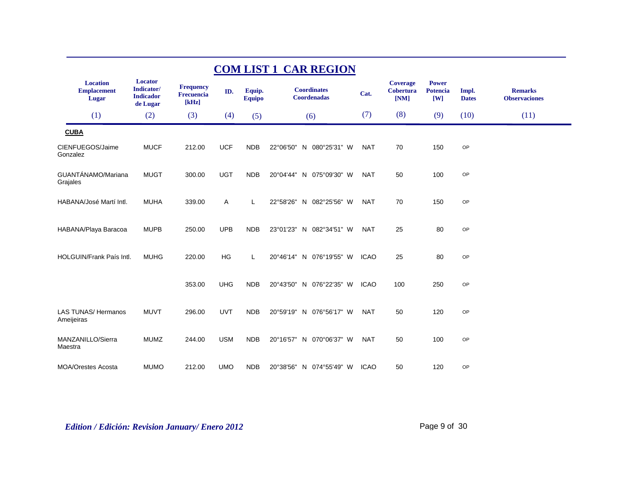|                                                | <b>COM LIST 1 CAR REGION</b>                          |                                                |            |                         |                                          |             |                                             |                                                            |                       |                                        |  |  |
|------------------------------------------------|-------------------------------------------------------|------------------------------------------------|------------|-------------------------|------------------------------------------|-------------|---------------------------------------------|------------------------------------------------------------|-----------------------|----------------------------------------|--|--|
| <b>Location</b><br><b>Emplacement</b><br>Lugar | Locator<br>Indicator/<br><b>Indicador</b><br>de Lugar | <b>Frequency</b><br><b>Frecuencia</b><br>[kHz] | ID.        | Equip.<br><b>Equipo</b> | <b>Coordinates</b><br><b>Coordenadas</b> | Cat.        | <b>Coverage</b><br><b>Cobertura</b><br>[NM] | <b>Power</b><br><b>Potencia</b><br>$\mathbf{[} \mathbf{W}$ | Impl.<br><b>Dates</b> | <b>Remarks</b><br><b>Observaciones</b> |  |  |
| (1)                                            | (2)                                                   | (3)                                            | (4)        | (5)                     | (6)                                      | (7)         | (8)                                         | (9)                                                        | (10)                  | (11)                                   |  |  |
| <b>CUBA</b>                                    |                                                       |                                                |            |                         |                                          |             |                                             |                                                            |                       |                                        |  |  |
| CIENFUEGOS/Jaime<br>Gonzalez                   | <b>MUCF</b>                                           | 212.00                                         | <b>UCF</b> | <b>NDB</b>              | 22°06'50" N 080°25'31" W                 | <b>NAT</b>  | 70                                          | 150                                                        | OP                    |                                        |  |  |
| GUANTÁNAMO/Mariana<br>Grajales                 | <b>MUGT</b>                                           | 300.00                                         | <b>UGT</b> | <b>NDB</b>              | 20°04'44" N 075°09'30" W                 | <b>NAT</b>  | 50                                          | 100                                                        | OP                    |                                        |  |  |
| HABANA/José Martí Intl.                        | <b>MUHA</b>                                           | 339.00                                         | Α          | L                       | 22°58'26" N 082°25'56" W                 | <b>NAT</b>  | 70                                          | 150                                                        | OP                    |                                        |  |  |
| HABANA/Playa Baracoa                           | <b>MUPB</b>                                           | 250.00                                         | <b>UPB</b> | <b>NDB</b>              | 23°01'23" N 082°34'51" W                 | <b>NAT</b>  | 25                                          | 80                                                         | OP                    |                                        |  |  |
| <b>HOLGUIN/Frank País Intl.</b>                | <b>MUHG</b>                                           | 220.00                                         | HG         | L                       | 20°46'14" N 076°19'55" W                 | <b>ICAO</b> | 25                                          | 80                                                         | OP                    |                                        |  |  |
|                                                |                                                       | 353.00                                         | <b>UHG</b> | <b>NDB</b>              | 20°43'50" N 076°22'35" W                 | <b>ICAO</b> | 100                                         | 250                                                        | OP                    |                                        |  |  |
| <b>LAS TUNAS/ Hermanos</b><br>Ameijeiras       | <b>MUVT</b>                                           | 296.00                                         | <b>UVT</b> | <b>NDB</b>              | 20°59'19" N 076°56'17" W                 | <b>NAT</b>  | 50                                          | 120                                                        | OP                    |                                        |  |  |
| MANZANILLO/Sierra<br>Maestra                   | <b>MUMZ</b>                                           | 244.00                                         | <b>USM</b> | <b>NDB</b>              | 20°16'57" N 070°06'37" W                 | <b>NAT</b>  | 50                                          | 100                                                        | OP                    |                                        |  |  |
| <b>MOA/Orestes Acosta</b>                      | <b>MUMO</b>                                           | 212.00                                         | <b>UMO</b> | <b>NDB</b>              | 20°38'56" N 074°55'49" W                 | <b>ICAO</b> | 50                                          | 120                                                        | OP                    |                                        |  |  |

*Edition / Edición: Revision January/ Enero 2012* Page 9 of 30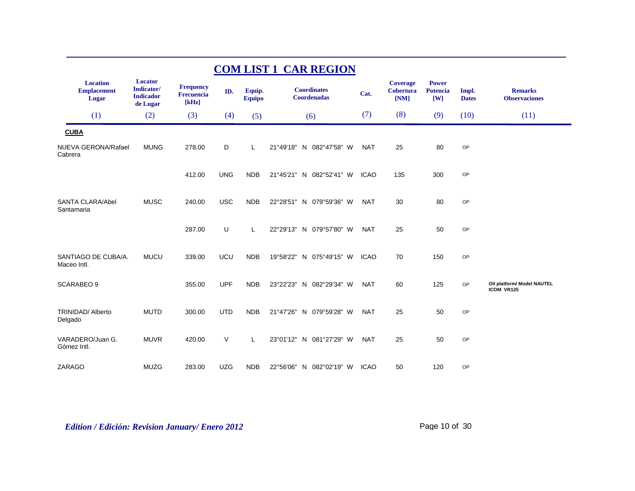| <b>COM LIST 1 CAR REGION</b>                   |                                                               |                                                |            |                         |                                          |             |                                             |                                 |                       |                                          |  |  |  |
|------------------------------------------------|---------------------------------------------------------------|------------------------------------------------|------------|-------------------------|------------------------------------------|-------------|---------------------------------------------|---------------------------------|-----------------------|------------------------------------------|--|--|--|
| <b>Location</b><br><b>Emplacement</b><br>Lugar | Locator<br><b>Indicator</b> /<br><b>Indicador</b><br>de Lugar | <b>Frequency</b><br><b>Frecuencia</b><br>[kHz] | ID.        | Equip.<br><b>Equipo</b> | <b>Coordinates</b><br><b>Coordenadas</b> | Cat.        | <b>Coverage</b><br><b>Cobertura</b><br>[NM] | <b>Power</b><br>Potencia<br>[W] | Impl.<br><b>Dates</b> | <b>Remarks</b><br><b>Observaciones</b>   |  |  |  |
| (1)                                            | (2)                                                           | (3)                                            | (4)        | (5)                     | (6)                                      | (7)         | (8)                                         | (9)                             | (10)                  | (11)                                     |  |  |  |
| <b>CUBA</b>                                    |                                                               |                                                |            |                         |                                          |             |                                             |                                 |                       |                                          |  |  |  |
| <b>NUEVA GERONA/Rafael</b><br>Cabrera          | <b>MUNG</b>                                                   | 278.00                                         | D          | L                       | 21°49'18"<br>N 082°47'58" W              | <b>NAT</b>  | 25                                          | 80                              | OP                    |                                          |  |  |  |
|                                                |                                                               | 412.00                                         | <b>UNG</b> | <b>NDB</b>              | 21°45'21" N 082°52'41" W                 | <b>ICAO</b> | 135                                         | 300                             | OP                    |                                          |  |  |  |
| <b>SANTA CLARA/Abel</b><br>Santamaria          | <b>MUSC</b>                                                   | 240.00                                         | <b>USC</b> | <b>NDB</b>              | 22°28'51" N 079°59'36" W                 | <b>NAT</b>  | 30                                          | 80                              | OP                    |                                          |  |  |  |
|                                                |                                                               | 287.00                                         | U          | Г                       | 22°29'13"<br>N 079°57'80" W              | <b>NAT</b>  | 25                                          | 50                              | OP                    |                                          |  |  |  |
| SANTIAGO DE CUBA/A.<br>Maceo Intl.             | <b>MUCU</b>                                                   | 339.00                                         | UCU        | <b>NDB</b>              | 19°58'22"<br>N 075°49'15" W              | <b>ICAO</b> | 70                                          | 150                             | OP                    |                                          |  |  |  |
| <b>SCARABEO 9</b>                              |                                                               | 355.00                                         | <b>UPF</b> | <b>NDB</b>              | 23°22'23" N 082°29'34" W                 | <b>NAT</b>  | 60                                          | 125                             | <b>OP</b>             | Oil platform/ Model NAUTEL<br>ICOM VR125 |  |  |  |
| <b>TRINIDAD/ Alberto</b><br>Delgado            | <b>MUTD</b>                                                   | 300.00                                         | <b>UTD</b> | <b>NDB</b>              | 21°47'26"<br>N 079°59'28" W              | <b>NAT</b>  | 25                                          | 50                              | OP                    |                                          |  |  |  |
| VARADERO/Juan G.<br>Gómez Intl.                | <b>MUVR</b>                                                   | 420.00                                         | $\vee$     | Г                       | 23°01'12"<br>N 081°27'29" W              | <b>NAT</b>  | 25                                          | 50                              | OP                    |                                          |  |  |  |
| ZARAGO                                         | <b>MUZG</b>                                                   | 283.00                                         | <b>UZG</b> | <b>NDB</b>              | 22°56'06" N 082°02'19" W                 | <b>ICAO</b> | 50                                          | 120                             | OP                    |                                          |  |  |  |

*Edition / Edición: Revision January/ Enero 2012* Page 10 of 30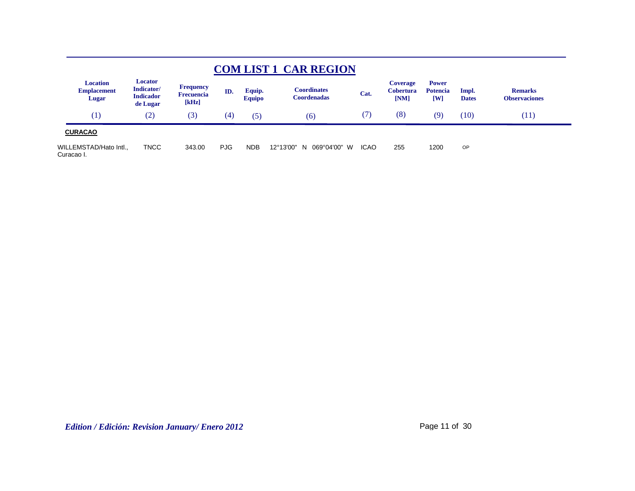|                                                |                                                       |                                         |     |                         | <b>COM LIST 1 CAR REGION</b>             |             |                                             |                                        |                       |                                        |
|------------------------------------------------|-------------------------------------------------------|-----------------------------------------|-----|-------------------------|------------------------------------------|-------------|---------------------------------------------|----------------------------------------|-----------------------|----------------------------------------|
| <b>Location</b><br><b>Emplacement</b><br>Lugar | Locator<br>Indicator/<br><b>Indicador</b><br>de Lugar | Frequency<br><b>Frecuencia</b><br>[kHz] | ID. | Equip.<br><b>Equipo</b> | <b>Coordinates</b><br><b>Coordenadas</b> | Cat.        | <b>Coverage</b><br><b>Cobertura</b><br>[NM] | <b>Power</b><br><b>Potencia</b><br>[W] | Impl.<br><b>Dates</b> | <b>Remarks</b><br><b>Observaciones</b> |
| (1)                                            | (2)                                                   | (3)                                     | (4) | (5)                     | (6)                                      | (7)         | (8)                                         | (9)                                    | (10)                  | (11)                                   |
| <b>CURACAO</b>                                 |                                                       |                                         |     |                         |                                          |             |                                             |                                        |                       |                                        |
| WILLEMSTAD/Hato Intl.,<br>Curacao I.           | <b>TNCC</b>                                           | 343.00                                  | PJG | <b>NDB</b>              | 12°13'00"<br>N 069°04'00" W              | <b>ICAO</b> | 255                                         | 1200                                   | <b>OP</b>             |                                        |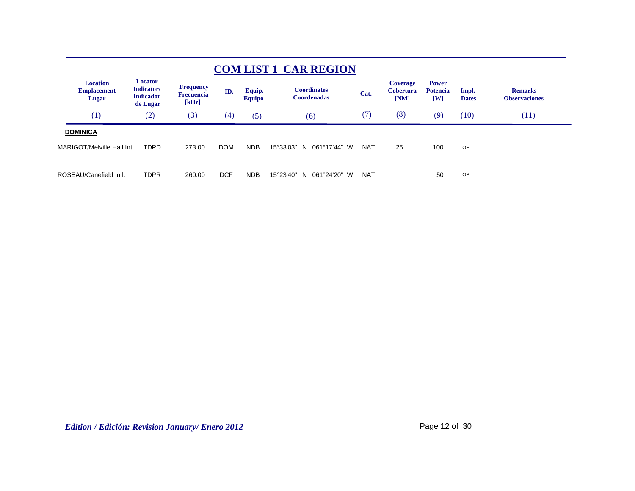|                                                |                                                       |                                                |            |                         | <b>COM LIST 1 CAR REGION</b>             |            |                                             |                                                   |                       |                                        |  |
|------------------------------------------------|-------------------------------------------------------|------------------------------------------------|------------|-------------------------|------------------------------------------|------------|---------------------------------------------|---------------------------------------------------|-----------------------|----------------------------------------|--|
| <b>Location</b><br><b>Emplacement</b><br>Lugar | Locator<br>Indicator/<br><b>Indicador</b><br>de Lugar | <b>Frequency</b><br><b>Frecuencia</b><br>[kHz] | ID.        | Equip.<br><b>Equipo</b> | <b>Coordinates</b><br><b>Coordenadas</b> | Cat.       | <b>Coverage</b><br><b>Cobertura</b><br>[NM] | <b>Power</b><br><b>Potencia</b><br>$\mathbf{[W]}$ | Impl.<br><b>Dates</b> | <b>Remarks</b><br><b>Observaciones</b> |  |
| (1)                                            | (2)                                                   | (3)                                            | (4)        | (5)                     | (6)                                      | (7)        | (8)                                         | (9)                                               | (10)                  | (11)                                   |  |
| <b>DOMINICA</b>                                |                                                       |                                                |            |                         |                                          |            |                                             |                                                   |                       |                                        |  |
| MARIGOT/Melville Hall Intl.                    | <b>TDPD</b>                                           | 273.00                                         | <b>DOM</b> | NDB                     | 15°33'03"<br>061°17'44" W<br>N           | <b>NAT</b> | 25                                          | 100                                               | OP                    |                                        |  |
|                                                |                                                       |                                                |            |                         |                                          |            |                                             |                                                   |                       |                                        |  |
| ROSEAU/Canefield Intl.                         | <b>TDPR</b>                                           | 260.00                                         | <b>DCF</b> | NDB                     | 15°23'40"<br>061°24'20" W<br>N.          | <b>NAT</b> |                                             | 50                                                | OP                    |                                        |  |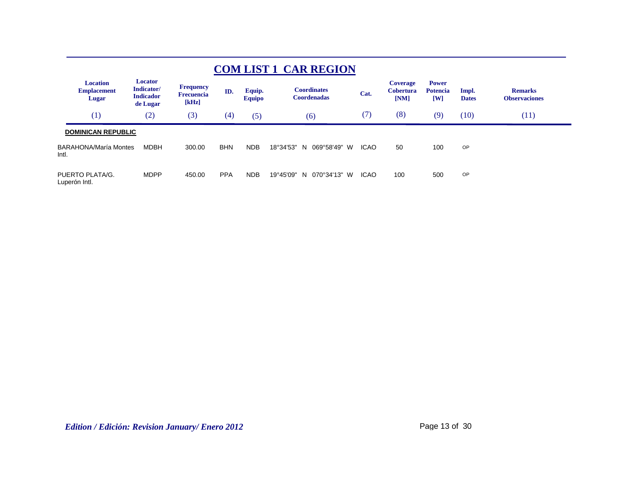| <b>COM LIST 1 CAR REGION</b>                   |                                                       |                                                |            |                         |                                          |             |                                             |                                                   |                       |                                        |  |  |  |
|------------------------------------------------|-------------------------------------------------------|------------------------------------------------|------------|-------------------------|------------------------------------------|-------------|---------------------------------------------|---------------------------------------------------|-----------------------|----------------------------------------|--|--|--|
| <b>Location</b><br><b>Emplacement</b><br>Lugar | Locator<br>Indicator/<br><b>Indicador</b><br>de Lugar | <b>Frequency</b><br><b>Frecuencia</b><br>[kHz] | ID.        | Equip.<br><b>Equipo</b> | <b>Coordinates</b><br><b>Coordenadas</b> | Cat.        | <b>Coverage</b><br><b>Cobertura</b><br>[NM] | <b>Power</b><br><b>Potencia</b><br>$\mathbf{[W]}$ | Impl.<br><b>Dates</b> | <b>Remarks</b><br><b>Observaciones</b> |  |  |  |
| (1)                                            | (2)                                                   | (3)                                            | (4)        | (5)                     | (6)                                      | (7)         | (8)                                         | (9)                                               | (10)                  | (11)                                   |  |  |  |
| <b>DOMINICAN REPUBLIC</b>                      |                                                       |                                                |            |                         |                                          |             |                                             |                                                   |                       |                                        |  |  |  |
| <b>BARAHONA/María Montes</b><br>Intl.          | MDBH                                                  | 300.00                                         | <b>BHN</b> | <b>NDB</b>              | 069°58'49"<br>18°34'53"<br>N.<br>W       | <b>ICAO</b> | 50                                          | 100                                               | OP                    |                                        |  |  |  |
| PUERTO PLATA/G.<br>Luperón Intl.               | <b>MDPP</b>                                           | 450.00                                         | <b>PPA</b> | <b>NDB</b>              | 19°45'09"<br>070°34'13" W<br>N.          | <b>ICAO</b> | 100                                         | 500                                               | OP                    |                                        |  |  |  |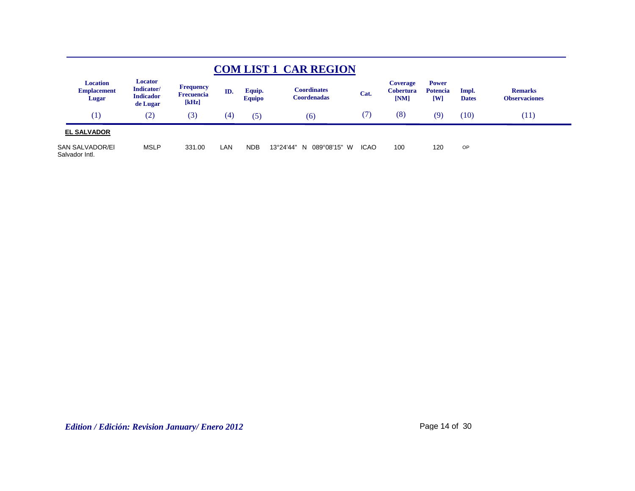|                                                |                                                       |                                                |     |                         | <b>COM LIST 1 CAR REGION</b>       |             |                                             |                                                |                       |                                        |
|------------------------------------------------|-------------------------------------------------------|------------------------------------------------|-----|-------------------------|------------------------------------|-------------|---------------------------------------------|------------------------------------------------|-----------------------|----------------------------------------|
| <b>Location</b><br><b>Emplacement</b><br>Lugar | Locator<br>Indicator/<br><b>Indicador</b><br>de Lugar | <b>Frequency</b><br><b>Frecuencia</b><br>[kHz] | ID. | Equip.<br><b>Equipo</b> | Coordinates<br><b>Coordenadas</b>  | Cat.        | <b>Coverage</b><br><b>Cobertura</b><br>[NM] | <b>Power</b><br><b>Potencia</b><br>$[{\rm W}]$ | Impl.<br><b>Dates</b> | <b>Remarks</b><br><b>Observaciones</b> |
| (1)                                            | (2)                                                   | (3)                                            | (4) | (5)                     | (6)                                | (7)         | (8)                                         | (9)                                            | (10)                  | (11)                                   |
| <b>EL SALVADOR</b>                             |                                                       |                                                |     |                         |                                    |             |                                             |                                                |                       |                                        |
| SAN SALVADOR/EI<br>Salvador Intl.              | <b>MSLP</b>                                           | 331.00                                         | LAN | <b>NDB</b>              | 13°24'44"<br>089°08'15"<br>W<br>-N | <b>ICAO</b> | 100                                         | 120                                            | OP                    |                                        |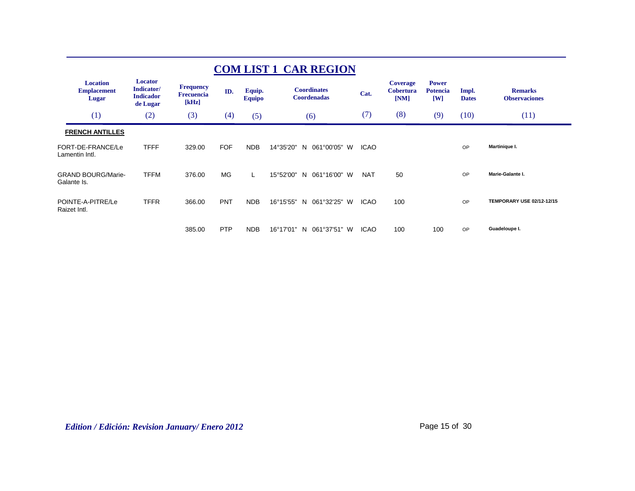|                                                |                                                       |                                                |            |                         | <b>COM LIST 1 CAR REGION</b>             |             |                                             |                                        |                       |                                        |
|------------------------------------------------|-------------------------------------------------------|------------------------------------------------|------------|-------------------------|------------------------------------------|-------------|---------------------------------------------|----------------------------------------|-----------------------|----------------------------------------|
| <b>Location</b><br><b>Emplacement</b><br>Lugar | Locator<br>Indicator/<br><b>Indicador</b><br>de Lugar | <b>Frequency</b><br><b>Frecuencia</b><br>[kHz] | ID.        | Equip.<br><b>Equipo</b> | <b>Coordinates</b><br><b>Coordenadas</b> | Cat.        | <b>Coverage</b><br><b>Cobertura</b><br>[NM] | <b>Power</b><br><b>Potencia</b><br>[W] | Impl.<br><b>Dates</b> | <b>Remarks</b><br><b>Observaciones</b> |
| (1)                                            | (2)                                                   | (3)                                            | (4)        | (5)                     | (6)                                      | (7)         | (8)                                         | (9)                                    | (10)                  | (11)                                   |
| <b>FRENCH ANTILLES</b>                         |                                                       |                                                |            |                         |                                          |             |                                             |                                        |                       |                                        |
| FORT-DE-FRANCE/Le<br>Lamentin Intl.            | <b>TFFF</b>                                           | 329.00                                         | <b>FOF</b> | <b>NDB</b>              | 14°35'20"<br>061°00'05"<br>N.<br>W       | <b>ICAO</b> |                                             |                                        | OP                    | Martinique I.                          |
| <b>GRAND BOURG/Marie-</b><br>Galante Is.       | <b>TFFM</b>                                           | 376.00                                         | <b>MG</b>  | L.                      | 061°16'00" W<br>15°52'00"<br>N.          | <b>NAT</b>  | 50                                          |                                        | OP                    | Marie-Galante I.                       |
| POINTE-A-PITRE/Le<br>Raizet Intl.              | <b>TFFR</b>                                           | 366.00                                         | <b>PNT</b> | <b>NDB</b>              | 16°15'55"<br>061°32'25"<br>W<br>N.       | <b>ICAO</b> | 100                                         |                                        | OP                    | TEMPORARY USE 02/12-12/15              |
|                                                |                                                       | 385.00                                         | <b>PTP</b> | <b>NDB</b>              | 16°17'01"<br>061°37'51" W<br>N           | <b>ICAO</b> | 100                                         | 100                                    | OP                    | Guadeloupe I.                          |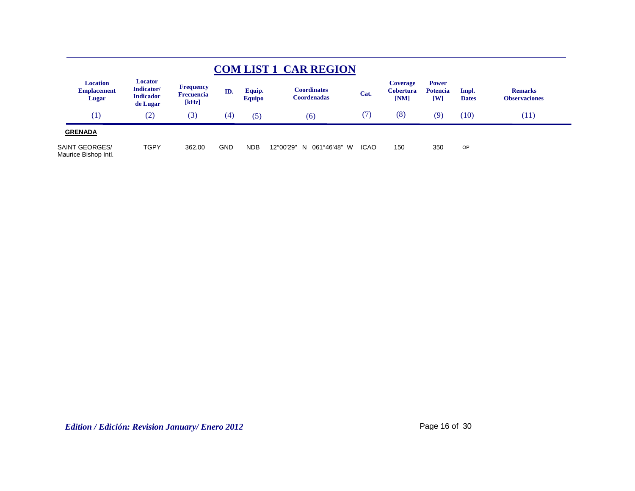|                                                |                                                       |                                                |            |                         | <b>COM LIST 1 CAR REGION</b>              |             |                                             |                                                |                       |                                        |  |
|------------------------------------------------|-------------------------------------------------------|------------------------------------------------|------------|-------------------------|-------------------------------------------|-------------|---------------------------------------------|------------------------------------------------|-----------------------|----------------------------------------|--|
| <b>Location</b><br><b>Emplacement</b><br>Lugar | Locator<br>Indicator/<br><b>Indicador</b><br>de Lugar | <b>Frequency</b><br><b>Frecuencia</b><br>[kHz] | ID.        | Equip.<br><b>Equipo</b> | C <b>oordinates</b><br><b>Coordenadas</b> | Cat.        | <b>Coverage</b><br><b>Cobertura</b><br>[NM] | <b>Power</b><br><b>Potencia</b><br>$[{\bf W}]$ | Impl.<br><b>Dates</b> | <b>Remarks</b><br><b>Observaciones</b> |  |
| $\left( 1\right)$                              | $\rm(2)$                                              | (3)                                            | (4)        | (5)                     | (6)                                       | (7)         | (8)                                         | (9)                                            | (10)                  | (11)                                   |  |
| <b>GRENADA</b>                                 |                                                       |                                                |            |                         |                                           |             |                                             |                                                |                       |                                        |  |
| SAINT GEORGES/<br>Maurice Bishop Intl.         | <b>TGPY</b>                                           | 362.00                                         | <b>GND</b> | <b>NDB</b>              | 12°00'29"<br>061°46'48"<br>W<br>N.        | <b>ICAO</b> | 150                                         | 350                                            | <b>OP</b>             |                                        |  |

*Edition / Edición: Revision January/ Enero 2012* Page 16 of 30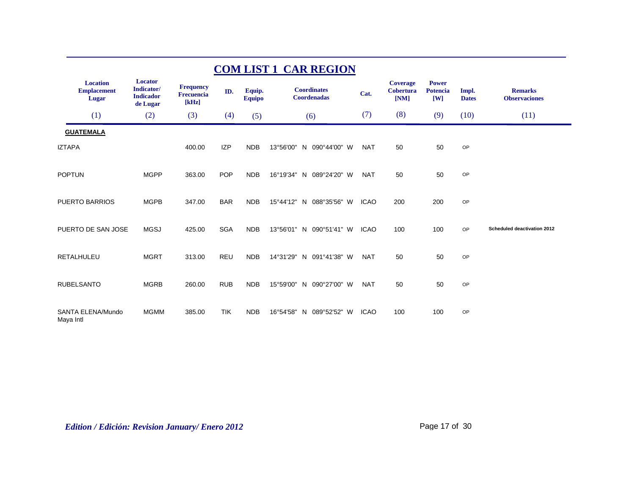| <b>COM LIST 1 CAR REGION</b>                   |                                                              |                                                |            |                         |                                   |             |                                             |                                                            |                       |                                        |  |  |
|------------------------------------------------|--------------------------------------------------------------|------------------------------------------------|------------|-------------------------|-----------------------------------|-------------|---------------------------------------------|------------------------------------------------------------|-----------------------|----------------------------------------|--|--|
| <b>Location</b><br><b>Emplacement</b><br>Lugar | <b>Locator</b><br>Indicator/<br><b>Indicador</b><br>de Lugar | <b>Frequency</b><br><b>Frecuencia</b><br>[kHz] | ID.        | Equip.<br><b>Equipo</b> | <b>Coordinates</b><br>Coordenadas | Cat.        | <b>Coverage</b><br><b>Cobertura</b><br>[NM] | <b>Power</b><br><b>Potencia</b><br>$\mathbf{[} \mathbf{W}$ | Impl.<br><b>Dates</b> | <b>Remarks</b><br><b>Observaciones</b> |  |  |
| (1)                                            | (2)                                                          | (3)                                            | (4)        | (5)                     | (6)                               | (7)         | (8)                                         | (9)                                                        | (10)                  | (11)                                   |  |  |
| <b>GUATEMALA</b>                               |                                                              |                                                |            |                         |                                   |             |                                             |                                                            |                       |                                        |  |  |
| <b>IZTAPA</b>                                  |                                                              | 400.00                                         | <b>IZP</b> | <b>NDB</b>              | 13°56'00"<br>N 090°44'00" W       | <b>NAT</b>  | 50                                          | 50                                                         | OP                    |                                        |  |  |
| <b>POPTUN</b>                                  | <b>MGPP</b>                                                  | 363.00                                         | <b>POP</b> | <b>NDB</b>              | 16°19'34"<br>N 089°24'20" W       | <b>NAT</b>  | 50                                          | 50                                                         | OP                    |                                        |  |  |
| PUERTO BARRIOS                                 | <b>MGPB</b>                                                  | 347.00                                         | <b>BAR</b> | <b>NDB</b>              | 15°44'12" N<br>088°35'56" W       | <b>ICAO</b> | 200                                         | 200                                                        | OP                    |                                        |  |  |
| PUERTO DE SAN JOSE                             | <b>MGSJ</b>                                                  | 425.00                                         | <b>SGA</b> | <b>NDB</b>              | 13°56'01" N 090°51'41" W          | <b>ICAO</b> | 100                                         | 100                                                        | OP                    | Scheduled deactivation 2012            |  |  |
| <b>RETALHULEU</b>                              | <b>MGRT</b>                                                  | 313.00                                         | <b>REU</b> | <b>NDB</b>              | 14°31'29"<br>N 091°41'38" W       | <b>NAT</b>  | 50                                          | 50                                                         | OP                    |                                        |  |  |
| <b>RUBELSANTO</b>                              | <b>MGRB</b>                                                  | 260.00                                         | <b>RUB</b> | <b>NDB</b>              | 15°59'00"<br>N 090°27'00" W       | <b>NAT</b>  | 50                                          | 50                                                         | OP                    |                                        |  |  |
| SANTA ELENA/Mundo<br>Maya Intl                 | <b>MGMM</b>                                                  | 385.00                                         | <b>TIK</b> | <b>NDB</b>              | 16°54'58"<br>089°52'52" W<br>N    | <b>ICAO</b> | 100                                         | 100                                                        | OP                    |                                        |  |  |

*Edition / Edición: Revision January/ Enero 2012* Page 17 of 30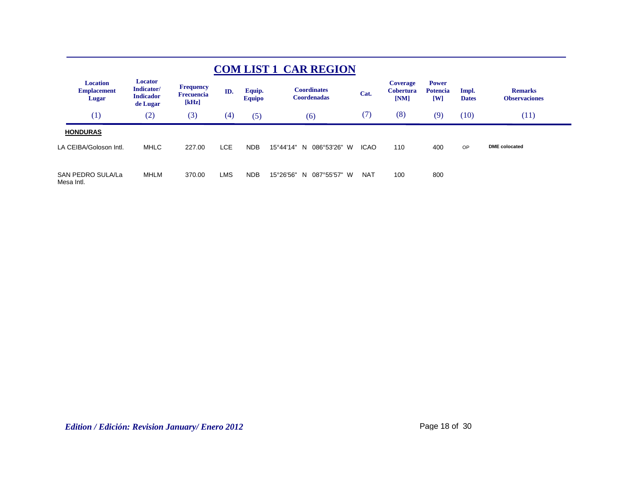| <b>COM LIST 1 CAR REGION</b>                   |                                                              |                                                |            |                         |                                          |             |                                             |                                                   |                       |                                        |  |  |
|------------------------------------------------|--------------------------------------------------------------|------------------------------------------------|------------|-------------------------|------------------------------------------|-------------|---------------------------------------------|---------------------------------------------------|-----------------------|----------------------------------------|--|--|
| <b>Location</b><br><b>Emplacement</b><br>Lugar | <b>Locator</b><br>Indicator/<br><b>Indicador</b><br>de Lugar | <b>Frequency</b><br><b>Frecuencia</b><br>[kHz] | ID.        | Equip.<br><b>Equipo</b> | <b>Coordinates</b><br><b>Coordenadas</b> | Cat.        | <b>Coverage</b><br><b>Cobertura</b><br>[NM] | <b>Power</b><br><b>Potencia</b><br>$\mathbf{[W]}$ | Impl.<br><b>Dates</b> | <b>Remarks</b><br><b>Observaciones</b> |  |  |
| (1)                                            | (2)                                                          | (3)                                            | (4)        | (5)                     | (6)                                      | (7)         | (8)                                         | (9)                                               | (10)                  | (11)                                   |  |  |
| <b>HONDURAS</b>                                |                                                              |                                                |            |                         |                                          |             |                                             |                                                   |                       |                                        |  |  |
| LA CEIBA/Goloson Intl.                         | <b>MHLC</b>                                                  | 227.00                                         | <b>LCE</b> | <b>NDB</b>              | 15°44'14"<br>086°53'26" W<br>N           | <b>ICAO</b> | 110                                         | 400                                               | OP                    | <b>DME</b> colocated                   |  |  |
| SAN PEDRO SULA/La<br>Mesa Intl.                | <b>MHLM</b>                                                  | 370.00                                         | <b>LMS</b> | <b>NDB</b>              | 15°26'56"<br>087°55'57" W<br>N.          | <b>NAT</b>  | 100                                         | 800                                               |                       |                                        |  |  |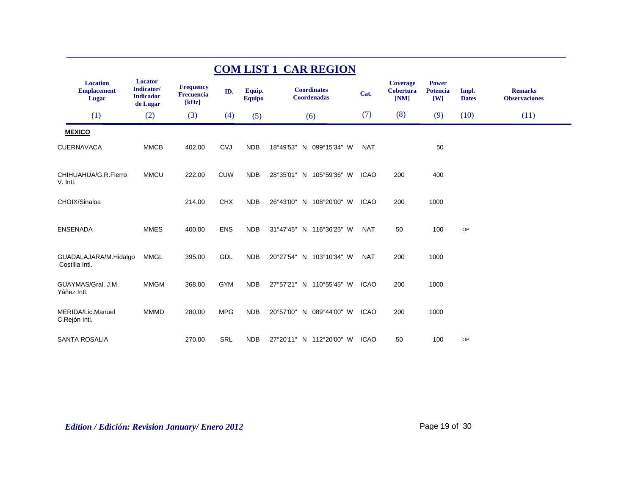| <b>COM LIST 1 CAR REGION</b>                   |                                                       |                                                |            |                         |                                          |             |                                      |                                        |                       |                                        |  |
|------------------------------------------------|-------------------------------------------------------|------------------------------------------------|------------|-------------------------|------------------------------------------|-------------|--------------------------------------|----------------------------------------|-----------------------|----------------------------------------|--|
| <b>Location</b><br><b>Emplacement</b><br>Lugar | Locator<br>Indicator/<br><b>Indicador</b><br>de Lugar | <b>Frequency</b><br><b>Frecuencia</b><br>[kHz] | ID.        | Equip.<br><b>Equipo</b> | <b>Coordinates</b><br><b>Coordenadas</b> | Cat.        | <b>Coverage</b><br>Cobertura<br>[NM] | <b>Power</b><br><b>Potencia</b><br>[W] | Impl.<br><b>Dates</b> | <b>Remarks</b><br><b>Observaciones</b> |  |
| (1)                                            | (2)                                                   | (3)                                            | (4)        | (5)                     | (6)                                      | (7)         | (8)                                  | (9)                                    | (10)                  | (11)                                   |  |
| <b>MEXICO</b>                                  |                                                       |                                                |            |                         |                                          |             |                                      |                                        |                       |                                        |  |
| <b>CUERNAVACA</b>                              | <b>MMCB</b>                                           | 402.00                                         | <b>CVJ</b> | <b>NDB</b>              | 18°49'53" N 099°15'34" W                 | <b>NAT</b>  |                                      | 50                                     |                       |                                        |  |
| CHIHUAHUA/G.R.Fierro<br>V. Intl.               | <b>MMCU</b>                                           | 222.00                                         | <b>CUW</b> | <b>NDB</b>              | 28°35'01" N 105°59'36" W                 | <b>ICAO</b> | 200                                  | 400                                    |                       |                                        |  |
| CHOIX/Sinaloa                                  |                                                       | 214.00                                         | <b>CHX</b> | <b>NDB</b>              | 26°43'00" N 108°20'00" W                 | <b>ICAO</b> | 200                                  | 1000                                   |                       |                                        |  |
| <b>ENSENADA</b>                                | <b>MMES</b>                                           | 400.00                                         | <b>ENS</b> | <b>NDB</b>              | 31°47'45" N 116°36'25" W                 | <b>NAT</b>  | 50                                   | 100                                    | OP                    |                                        |  |
| GUADALAJARA/M.Hidalgo<br>Costilla Intl.        | <b>MMGL</b>                                           | 395.00                                         | GDL        | <b>NDB</b>              | 20°27'54" N 103°10'34" W                 | <b>NAT</b>  | 200                                  | 1000                                   |                       |                                        |  |
| GUAYMAS/Gral, J.M.<br>Yáñez Intl.              | <b>MMGM</b>                                           | 368.00                                         | <b>GYM</b> | <b>NDB</b>              | 27°57'21" N 110°55'45" W                 | <b>ICAO</b> | 200                                  | 1000                                   |                       |                                        |  |
| MERIDA/Lic.Manuel<br>C.Rejón Intl.             | <b>MMMD</b>                                           | 280.00                                         | <b>MPG</b> | <b>NDB</b>              | 20°57'00" N 089°44'00" W                 | <b>ICAO</b> | 200                                  | 1000                                   |                       |                                        |  |
| <b>SANTA ROSALIA</b>                           |                                                       | 270.00                                         | <b>SRL</b> | <b>NDB</b>              | 27°20'11" N 112°20'00" W                 | <b>ICAO</b> | 50                                   | 100                                    | OP                    |                                        |  |

*Edition / Edición: Revision January/ Enero 2012* Page 19 of 30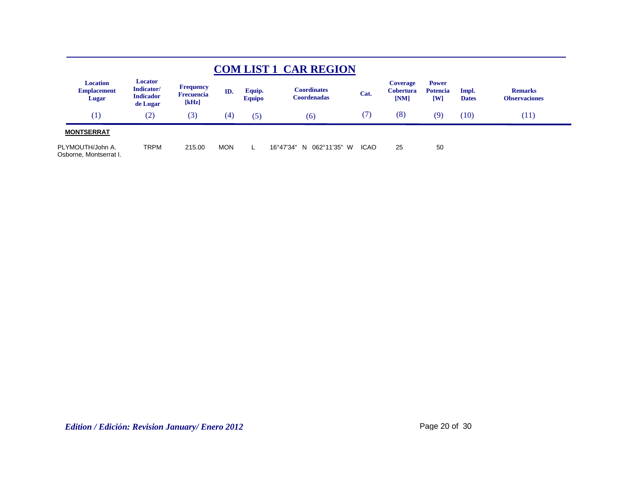|                                                |                                                       |                                                |            |                         | <b>COM LIST 1 CAR REGION</b>              |             |                                             |                                                |                       |                                        |
|------------------------------------------------|-------------------------------------------------------|------------------------------------------------|------------|-------------------------|-------------------------------------------|-------------|---------------------------------------------|------------------------------------------------|-----------------------|----------------------------------------|
| <b>Location</b><br><b>Emplacement</b><br>Lugar | Locator<br>Indicator/<br><b>Indicador</b><br>de Lugar | <b>Frequency</b><br><b>Frecuencia</b><br>[kHz] | ID.        | Equip.<br><b>Equipo</b> | C <b>oordinates</b><br><b>Coordenadas</b> | Cat.        | <b>Coverage</b><br><b>Cobertura</b><br>[NM] | <b>Power</b><br><b>Potencia</b><br>$[{\bf W}]$ | Impl.<br><b>Dates</b> | <b>Remarks</b><br><b>Observaciones</b> |
| (1)                                            | (2)                                                   | (3)                                            | (4)        | (5)                     | (6)                                       | (7)         | (8)                                         | (9)                                            | (10)                  | (11)                                   |
| <b>MONTSERRAT</b>                              |                                                       |                                                |            |                         |                                           |             |                                             |                                                |                       |                                        |
| PLYMOUTH/John A.<br>Osborne, Montserrat I.     | TRPM                                                  | 215.00                                         | <b>MON</b> |                         | 16°47'34" N<br>062°11'35"<br>W            | <b>ICAO</b> | 25                                          | 50                                             |                       |                                        |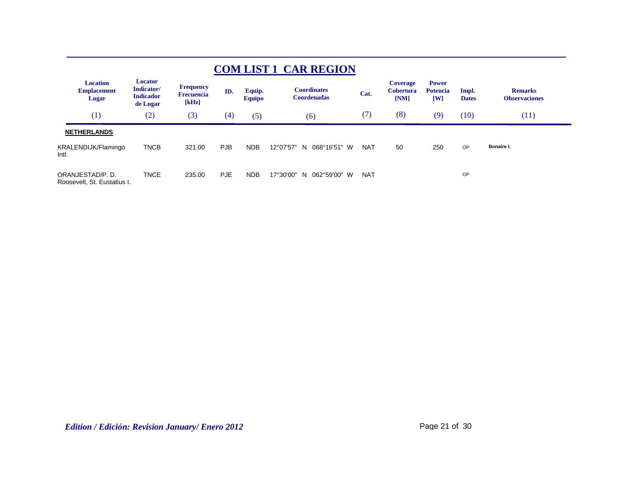| <b>COM LIST 1 CAR REGION</b>                   |                                                       |                                                |            |                         |                                          |            |                                      |                                                           |                       |                                        |  |  |  |
|------------------------------------------------|-------------------------------------------------------|------------------------------------------------|------------|-------------------------|------------------------------------------|------------|--------------------------------------|-----------------------------------------------------------|-----------------------|----------------------------------------|--|--|--|
| <b>Location</b><br><b>Emplacement</b><br>Lugar | Locator<br>Indicator/<br><b>Indicador</b><br>de Lugar | <b>Frequency</b><br><b>Frecuencia</b><br>[kHz] | ID.        | Equip.<br><b>Equipo</b> | <b>Coordinates</b><br><b>Coordenadas</b> | Cat.       | Coverage<br><b>Cobertura</b><br>[NM] | <b>Power</b><br><b>Potencia</b><br>$\mathsf{I}\mathsf{W}$ | Impl.<br><b>Dates</b> | <b>Remarks</b><br><b>Observaciones</b> |  |  |  |
| $\left(1\right)$                               | (2)                                                   | (3)                                            | (4)        | (5)                     | (6)                                      | (7)        | (8)                                  | (9)                                                       | (10)                  | (11)                                   |  |  |  |
| <b>NETHERLANDS</b>                             |                                                       |                                                |            |                         |                                          |            |                                      |                                                           |                       |                                        |  |  |  |
| KRALENDIJK/Flamingo<br>Intl.                   | <b>TNCB</b>                                           | 321.00                                         | <b>PJB</b> | <b>NDB</b>              | 12°07'57"<br>068°16'51" W<br>N.          | <b>NAT</b> | 50                                   | 250                                                       | OP                    | Bonaire I.                             |  |  |  |
| ORANJESTAD/P.D.<br>Roosevelt, St. Eustatius I. | <b>TNCE</b>                                           | 235.00                                         | <b>PJE</b> | <b>NDB</b>              | 17°30'00"<br>062°59'00" W<br>N.          | <b>NAT</b> |                                      |                                                           | OP                    |                                        |  |  |  |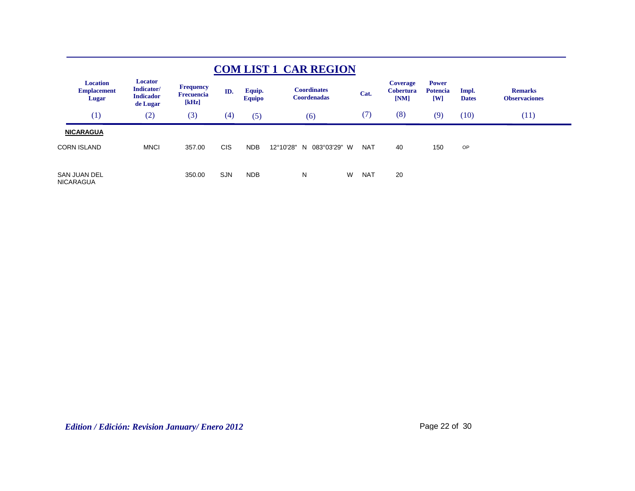|                                                       |                                                       |                                                |            |                         | <b>COM LIST 1 CAR REGION</b>             |   |            |                                      |                                                                     |                       |                                        |
|-------------------------------------------------------|-------------------------------------------------------|------------------------------------------------|------------|-------------------------|------------------------------------------|---|------------|--------------------------------------|---------------------------------------------------------------------|-----------------------|----------------------------------------|
| <b>Location</b><br><b>Emplacement</b><br><b>Lugar</b> | Locator<br>Indicator/<br><b>Indicador</b><br>de Lugar | <b>Frequency</b><br><b>Frecuencia</b><br>[kHz] | ID.        | Equip.<br><b>Equipo</b> | <b>Coordinates</b><br><b>Coordenadas</b> |   | Cat.       | Coverage<br><b>Cobertura</b><br>[NM] | <b>Power</b><br><b>Potencia</b><br>$\mathbf{[}\mathbf{W}\mathbf{]}$ | Impl.<br><b>Dates</b> | <b>Remarks</b><br><b>Observaciones</b> |
| (1)                                                   | (2)                                                   | (3)                                            | (4)        | (5)                     | (6)                                      |   | (7)        | (8)                                  | (9)                                                                 | (10)                  | (11)                                   |
| <b>NICARAGUA</b>                                      |                                                       |                                                |            |                         |                                          |   |            |                                      |                                                                     |                       |                                        |
| <b>CORN ISLAND</b>                                    | <b>MNCI</b>                                           | 357.00                                         | <b>CIS</b> | <b>NDB</b>              | 12°10'28"<br>083°03'29" W<br>N           |   | <b>NAT</b> | 40                                   | 150                                                                 | OP                    |                                        |
| SAN JUAN DEL<br><b>NICARAGUA</b>                      |                                                       | 350.00                                         | <b>SJN</b> | <b>NDB</b>              | N                                        | W | <b>NAT</b> | 20                                   |                                                                     |                       |                                        |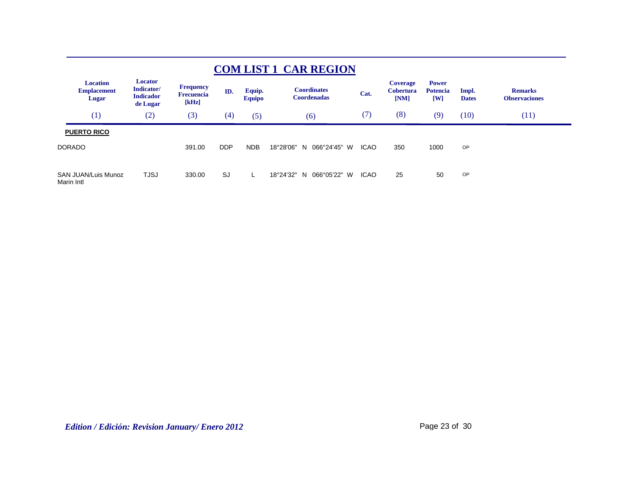|               | <b>COM LIST 1 CAR REGION</b>                   |                                                       |                                                |            |                         |                                          |             |                                      |                                                   |                       |                                        |  |  |
|---------------|------------------------------------------------|-------------------------------------------------------|------------------------------------------------|------------|-------------------------|------------------------------------------|-------------|--------------------------------------|---------------------------------------------------|-----------------------|----------------------------------------|--|--|
|               | <b>Location</b><br><b>Emplacement</b><br>Lugar | Locator<br>Indicator/<br><b>Indicador</b><br>de Lugar | <b>Frequency</b><br><b>Frecuencia</b><br>[kHz] | ID.        | Equip.<br><b>Equipo</b> | <b>Coordinates</b><br><b>Coordenadas</b> | Cat.        | Coverage<br><b>Cobertura</b><br>[NM] | <b>Power</b><br><b>Potencia</b><br>$\mathbf{[W]}$ | Impl.<br><b>Dates</b> | <b>Remarks</b><br><b>Observaciones</b> |  |  |
|               | (1)                                            | (2)                                                   | (3)                                            | (4)        | (5)                     | (6)                                      | (7)         | (8)                                  | (9)                                               | (10)                  | (11)                                   |  |  |
|               | <b>PUERTO RICO</b>                             |                                                       |                                                |            |                         |                                          |             |                                      |                                                   |                       |                                        |  |  |
| <b>DORADO</b> |                                                |                                                       | 391.00                                         | <b>DDP</b> | <b>NDB</b>              | 18°28'06"<br>066°24'45" W<br>N           | <b>ICAO</b> | 350                                  | 1000                                              | OP                    |                                        |  |  |
|               |                                                |                                                       |                                                |            |                         |                                          |             |                                      |                                                   |                       |                                        |  |  |
| Marin Intl    | <b>SAN JUAN/Luis Munoz</b>                     | <b>TJSJ</b>                                           | 330.00                                         | SJ         |                         | 18°24'32"<br>066°05'22" W<br>N.          | <b>ICAO</b> | 25                                   | 50                                                | OP                    |                                        |  |  |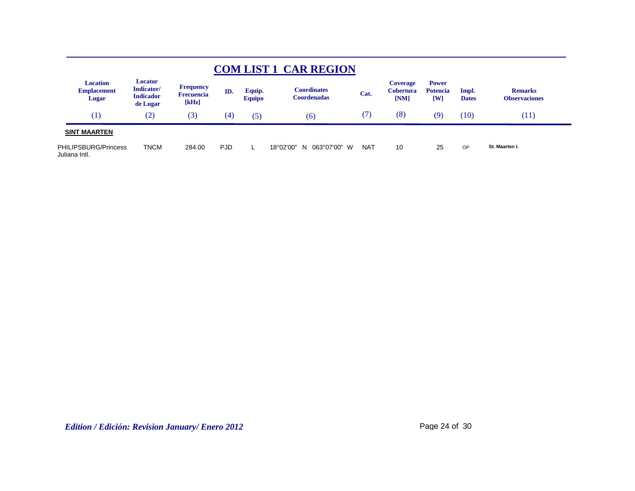|                                                |                                                              |                                                |            |                         | <b>COM LIST 1 CAR REGION</b>             |            |                                             |                                        |                       |                                        |
|------------------------------------------------|--------------------------------------------------------------|------------------------------------------------|------------|-------------------------|------------------------------------------|------------|---------------------------------------------|----------------------------------------|-----------------------|----------------------------------------|
| <b>Location</b><br><b>Emplacement</b><br>Lugar | <b>Locator</b><br>Indicator/<br><b>Indicador</b><br>de Lugar | <b>Frequency</b><br><b>Frecuencia</b><br>[kHz] | ID.        | Equip.<br><b>Equipo</b> | <b>Coordinates</b><br><b>Coordenadas</b> | Cat.       | <b>Coverage</b><br><b>Cobertura</b><br>[NM] | <b>Power</b><br><b>Potencia</b><br>[W] | Impl.<br><b>Dates</b> | <b>Remarks</b><br><b>Observaciones</b> |
| (1)                                            | (2)                                                          | (3)                                            | (4)        | (5)                     | (6)                                      | (7)        | (8)                                         | (9)                                    | (10)                  | (11)                                   |
| <b>SINT MAARTEN</b>                            |                                                              |                                                |            |                         |                                          |            |                                             |                                        |                       |                                        |
| <b>PHILIPSBURG/Princess</b><br>Juliana Intl.   | <b>TNCM</b>                                                  | 284.00                                         | <b>PJD</b> |                         | N 063°07'00" W<br>18°02'00"              | <b>NAT</b> | 10                                          | 25                                     | <b>OP</b>             | St. Maarten I.                         |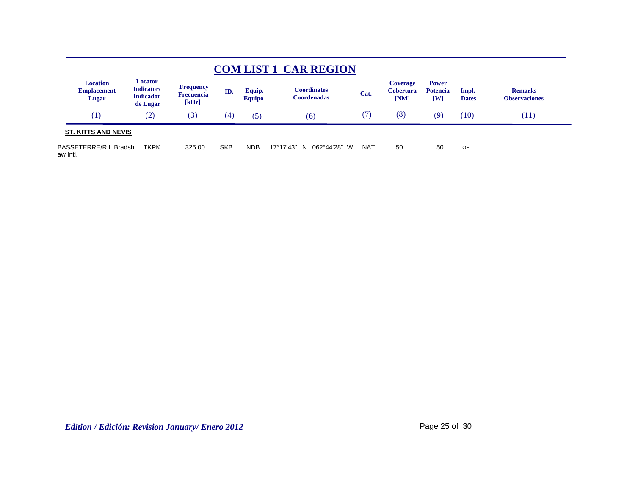|                                                |                                                       |                                                |            |                         | <b>COM LIST 1 CAR REGION</b>             |            |                                             |                                                |                       |                                        |  |
|------------------------------------------------|-------------------------------------------------------|------------------------------------------------|------------|-------------------------|------------------------------------------|------------|---------------------------------------------|------------------------------------------------|-----------------------|----------------------------------------|--|
| <b>Location</b><br><b>Emplacement</b><br>Lugar | Locator<br>Indicator/<br><b>Indicador</b><br>de Lugar | <b>Frequency</b><br><b>Frecuencia</b><br>[kHz] | ID.        | Equip.<br><b>Equipo</b> | <b>Coordinates</b><br><b>Coordenadas</b> | Cat.       | <b>Coverage</b><br><b>Cobertura</b><br>[NM] | <b>Power</b><br><b>Potencia</b><br>$[{\rm W}]$ | Impl.<br><b>Dates</b> | <b>Remarks</b><br><b>Observaciones</b> |  |
| (1)                                            | (2)                                                   | (3)                                            | (4)        | (5)                     | (6)                                      | (7)        | (8)                                         | (9)                                            | (10)                  | (11)                                   |  |
| <b>ST. KITTS AND NEVIS</b>                     |                                                       |                                                |            |                         |                                          |            |                                             |                                                |                       |                                        |  |
| BASSETERRE/R.L.Bradsh<br>aw Intl.              | <b>TKPK</b>                                           | 325.00                                         | <b>SKB</b> | <b>NDB</b>              | 17°17'43"<br>062°44'28" W<br>N.          | <b>NAT</b> | 50                                          | 50                                             | OP                    |                                        |  |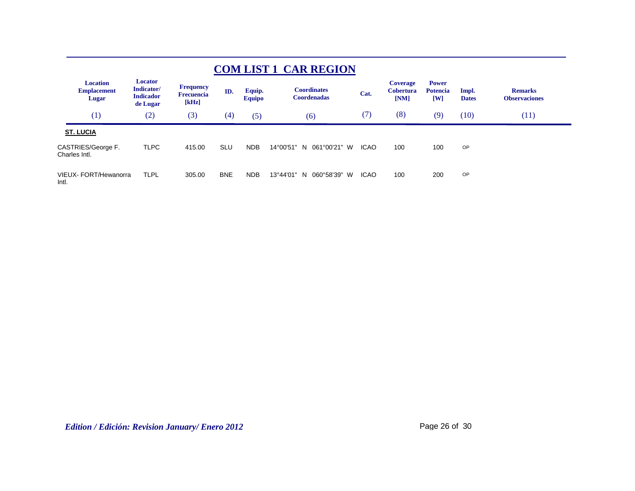| <b>COM LIST 1 CAR REGION</b>                   |                                                       |                                                |            |                         |                                          |             |                                      |                                                   |                       |                                        |
|------------------------------------------------|-------------------------------------------------------|------------------------------------------------|------------|-------------------------|------------------------------------------|-------------|--------------------------------------|---------------------------------------------------|-----------------------|----------------------------------------|
| <b>Location</b><br><b>Emplacement</b><br>Lugar | Locator<br>Indicator/<br><b>Indicador</b><br>de Lugar | <b>Frequency</b><br><b>Frecuencia</b><br>[kHz] | ID.        | Equip.<br><b>Equipo</b> | <b>Coordinates</b><br><b>Coordenadas</b> | Cat.        | Coverage<br><b>Cobertura</b><br>[NM] | <b>Power</b><br><b>Potencia</b><br>$\mathbf{[W]}$ | Impl.<br><b>Dates</b> | <b>Remarks</b><br><b>Observaciones</b> |
| (1)                                            | (2)                                                   | (3)                                            | (4)        | (5)                     | (6)                                      | (7)         | (8)                                  | (9)                                               | (10)                  | (11)                                   |
| <b>ST. LUCIA</b>                               |                                                       |                                                |            |                         |                                          |             |                                      |                                                   |                       |                                        |
| CASTRIES/George F.<br>Charles Intl.            | <b>TLPC</b>                                           | 415.00                                         | <b>SLU</b> | <b>NDB</b>              | 14°00'51" N 061°00'21" W                 | <b>ICAO</b> | 100                                  | 100                                               | OP                    |                                        |
| VIEUX- FORT/Hewanorra<br>Intl.                 | TLPL                                                  | 305.00                                         | <b>BNE</b> | <b>NDB</b>              | 060°58'39"<br>13°44'01"<br>W<br>N.       | <b>ICAO</b> | 100                                  | 200                                               | OP                    |                                        |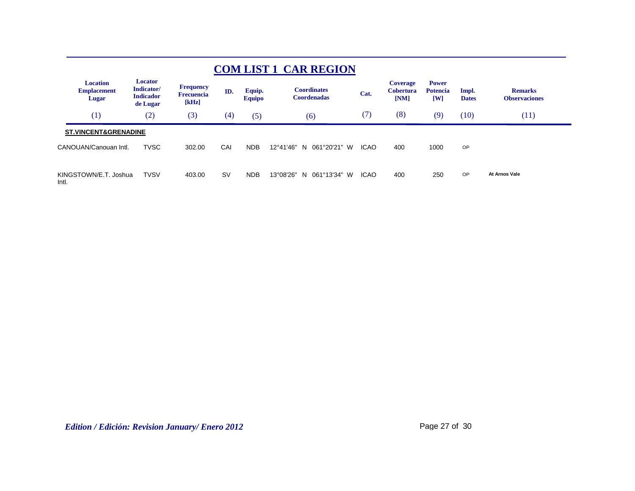| <b>COM LIST 1 CAR REGION</b>                   |                                                       |                                                |           |                         |                                          |             |                                             |                                                            |                       |                                        |
|------------------------------------------------|-------------------------------------------------------|------------------------------------------------|-----------|-------------------------|------------------------------------------|-------------|---------------------------------------------|------------------------------------------------------------|-----------------------|----------------------------------------|
| <b>Location</b><br><b>Emplacement</b><br>Lugar | Locator<br>Indicator/<br><b>Indicador</b><br>de Lugar | <b>Frequency</b><br><b>Frecuencia</b><br>[kHz] | ID.       | Equip.<br><b>Equipo</b> | <b>Coordinates</b><br><b>Coordenadas</b> | Cat.        | <b>Coverage</b><br><b>Cobertura</b><br>[NM] | <b>Power</b><br><b>Potencia</b><br>$\mathbf{[} \mathbf{W}$ | Impl.<br><b>Dates</b> | <b>Remarks</b><br><b>Observaciones</b> |
| (1)                                            | (2)                                                   | (3)                                            | (4)       | (5)                     | (6)                                      | (7)         | (8)                                         | (9)                                                        | (10)                  | (11)                                   |
| <b>ST.VINCENT&amp;GRENADINE</b>                |                                                       |                                                |           |                         |                                          |             |                                             |                                                            |                       |                                        |
| CANOUAN/Canouan Intl.                          | <b>TVSC</b>                                           | 302.00                                         | CAI       | <b>NDB</b>              | 12°41'46"<br>061°20'21" W<br>N.          | <b>ICAO</b> | 400                                         | 1000                                                       | OP                    |                                        |
| KINGSTOWN/E.T. Joshua<br>Intl.                 | <b>TVSV</b>                                           | 403.00                                         | <b>SV</b> | <b>NDB</b>              | N 061°13'34" W<br>13°08'26"              | <b>ICAO</b> | 400                                         | 250                                                        | OP                    | At Arnos Vale                          |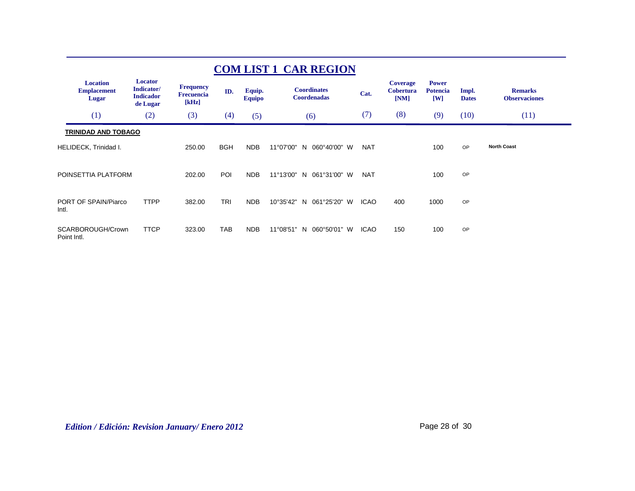| <b>COM LIST 1 CAR REGION</b>                   |                                                              |                                                |            |                         |                                            |             |                                             |                                        |                       |                                        |  |
|------------------------------------------------|--------------------------------------------------------------|------------------------------------------------|------------|-------------------------|--------------------------------------------|-------------|---------------------------------------------|----------------------------------------|-----------------------|----------------------------------------|--|
| <b>Location</b><br><b>Emplacement</b><br>Lugar | <b>Locator</b><br>Indicator/<br><b>Indicador</b><br>de Lugar | <b>Frequency</b><br><b>Frecuencia</b><br>[kHz] | ID.        | Equip.<br><b>Equipo</b> | <b>Coordinates</b><br><b>Coordenadas</b>   | Cat.        | <b>Coverage</b><br><b>Cobertura</b><br>[NM] | <b>Power</b><br><b>Potencia</b><br>[W] | Impl.<br><b>Dates</b> | <b>Remarks</b><br><b>Observaciones</b> |  |
| (1)                                            | (2)                                                          | (3)                                            | (4)        | (5)                     | (6)                                        | (7)         | (8)                                         | (9)                                    | (10)                  | (11)                                   |  |
| <b>TRINIDAD AND TOBAGO</b>                     |                                                              |                                                |            |                         |                                            |             |                                             |                                        |                       |                                        |  |
| HELIDECK, Trinidad I.                          |                                                              | 250.00                                         | <b>BGH</b> | <b>NDB</b>              | 11°07'00"<br>060°40'00" W<br>N             | <b>NAT</b>  |                                             | 100                                    | OP                    | <b>North Coast</b>                     |  |
| POINSETTIA PLATFORM                            |                                                              | 202.00                                         | POI        | <b>NDB</b>              | 11°13'00"<br>061°31'00" W<br>N             | <b>NAT</b>  |                                             | 100                                    | OP                    |                                        |  |
| PORT OF SPAIN/Piarco<br>Intl.                  | <b>TTPP</b>                                                  | 382.00                                         | <b>TRI</b> | <b>NDB</b>              | 10°35'42"<br>061°25'20" W<br>N             | <b>ICAO</b> | 400                                         | 1000                                   | OP                    |                                        |  |
| SCARBOROUGH/Crown<br>Point Intl.               | <b>TTCP</b>                                                  | 323.00                                         | <b>TAB</b> | <b>NDB</b>              | $11^{\circ}08'51"$<br>060°50'01"<br>N<br>W | <b>ICAO</b> | 150                                         | 100                                    | OP                    |                                        |  |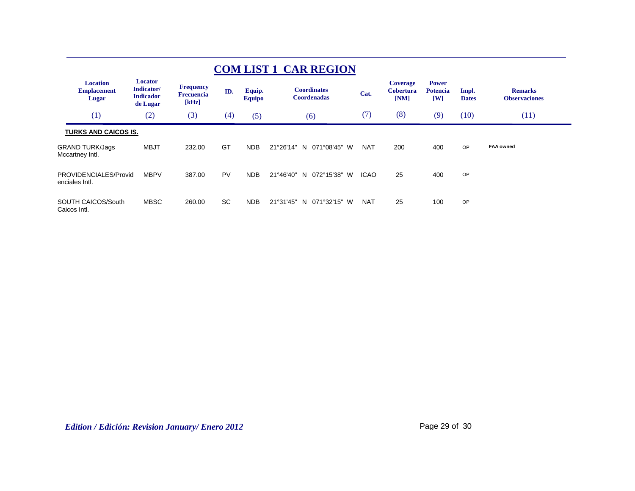| <b>COM LIST 1 CAR REGION</b>                   |                                                       |                                                |           |                         |                                          |             |                                             |                                        |                       |                                        |  |
|------------------------------------------------|-------------------------------------------------------|------------------------------------------------|-----------|-------------------------|------------------------------------------|-------------|---------------------------------------------|----------------------------------------|-----------------------|----------------------------------------|--|
| <b>Location</b><br><b>Emplacement</b><br>Lugar | Locator<br>Indicator/<br><b>Indicador</b><br>de Lugar | <b>Frequency</b><br><b>Frecuencia</b><br>[kHz] | ID.       | Equip.<br><b>Equipo</b> | <b>Coordinates</b><br><b>Coordenadas</b> | Cat.        | <b>Coverage</b><br><b>Cobertura</b><br>[NM] | <b>Power</b><br><b>Potencia</b><br>[W] | Impl.<br><b>Dates</b> | <b>Remarks</b><br><b>Observaciones</b> |  |
| (1)                                            | (2)                                                   | (3)                                            | (4)       | (5)                     | (6)                                      | (7)         | (8)                                         | (9)                                    | (10)                  | (11)                                   |  |
| <b>TURKS AND CAICOS IS.</b>                    |                                                       |                                                |           |                         |                                          |             |                                             |                                        |                       |                                        |  |
| <b>GRAND TURK/Jags</b><br>Mccartney Intl.      | <b>MBJT</b>                                           | 232.00                                         | GT        | <b>NDB</b>              | 21°26'14"<br>071°08'45" W<br>N           | <b>NAT</b>  | 200                                         | 400                                    | OP                    | <b>FAA owned</b>                       |  |
| PROVIDENCIALES/Provid<br>enciales Intl.        | <b>MBPV</b>                                           | 387.00                                         | PV        | <b>NDB</b>              | 21°46'40"<br>072°15'38" W<br>N           | <b>ICAO</b> | 25                                          | 400                                    | OP                    |                                        |  |
| SOUTH CAICOS/South<br>Caicos Intl.             | <b>MBSC</b>                                           | 260.00                                         | <b>SC</b> | <b>NDB</b>              | 21°31'45"<br>071°32'15" W<br>N           | <b>NAT</b>  | 25                                          | 100                                    | OP                    |                                        |  |